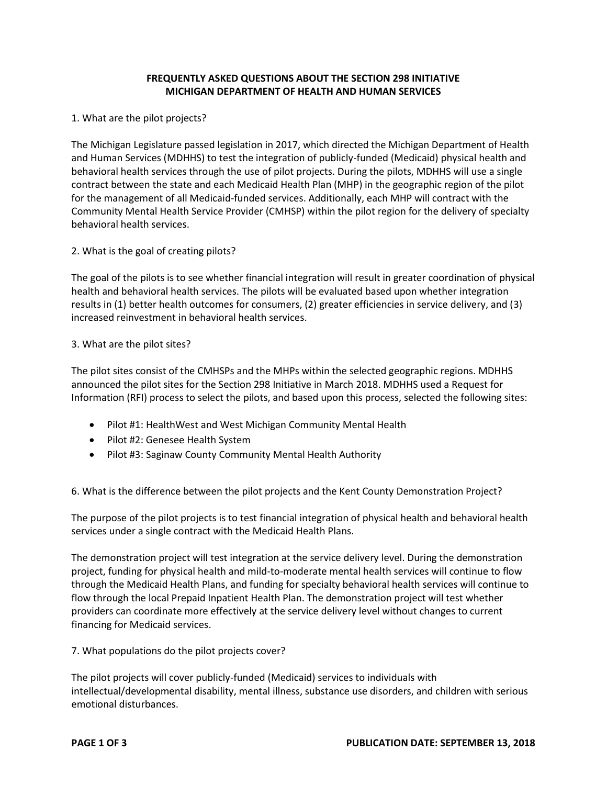## **FREQUENTLY ASKED QUESTIONS ABOUT THE SECTION 298 INITIATIVE MICHIGAN DEPARTMENT OF HEALTH AND HUMAN SERVICES**

#### 1. What are the pilot projects?

The Michigan Legislature passed legislation in 2017, which directed the Michigan Department of Health and Human Services (MDHHS) to test the integration of publicly-funded (Medicaid) physical health and behavioral health services through the use of pilot projects. During the pilots, MDHHS will use a single contract between the state and each Medicaid Health Plan (MHP) in the geographic region of the pilot for the management of all Medicaid-funded services. Additionally, each MHP will contract with the Community Mental Health Service Provider (CMHSP) within the pilot region for the delivery of specialty behavioral health services.

## 2. What is the goal of creating pilots?

The goal of the pilots is to see whether financial integration will result in greater coordination of physical health and behavioral health services. The pilots will be evaluated based upon whether integration results in (1) better health outcomes for consumers, (2) greater efficiencies in service delivery, and (3) increased reinvestment in behavioral health services.

## 3. What are the pilot sites?

The pilot sites consist of the CMHSPs and the MHPs within the selected geographic regions. MDHHS announced the pilot sites for the Section 298 Initiative in March 2018. MDHHS used a Request for Information (RFI) process to select the pilots, and based upon this process, selected the following sites:

- Pilot #1: HealthWest and West Michigan Community Mental Health
- Pilot #2: Genesee Health System
- Pilot #3: Saginaw County Community Mental Health Authority

# 6. What is the difference between the pilot projects and the Kent County Demonstration Project?

The purpose of the pilot projects is to test financial integration of physical health and behavioral health services under a single contract with the Medicaid Health Plans.

The demonstration project will test integration at the service delivery level. During the demonstration project, funding for physical health and mild-to-moderate mental health services will continue to flow through the Medicaid Health Plans, and funding for specialty behavioral health services will continue to flow through the local Prepaid Inpatient Health Plan. The demonstration project will test whether providers can coordinate more effectively at the service delivery level without changes to current financing for Medicaid services.

7. What populations do the pilot projects cover?

The pilot projects will cover publicly-funded (Medicaid) services to individuals with intellectual/developmental disability, mental illness, substance use disorders, and children with serious emotional disturbances.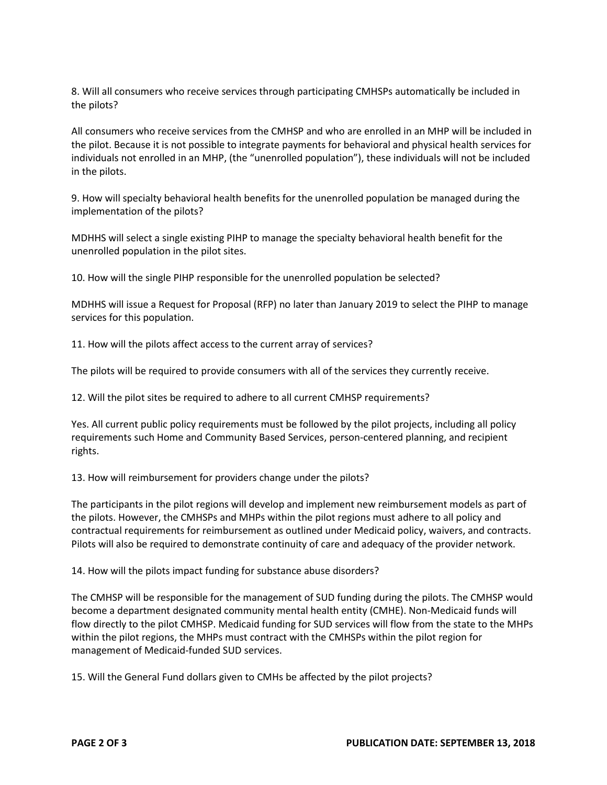8. Will all consumers who receive services through participating CMHSPs automatically be included in the pilots?

All consumers who receive services from the CMHSP and who are enrolled in an MHP will be included in the pilot. Because it is not possible to integrate payments for behavioral and physical health services for individuals not enrolled in an MHP, (the "unenrolled population"), these individuals will not be included in the pilots.

9. How will specialty behavioral health benefits for the unenrolled population be managed during the implementation of the pilots?

MDHHS will select a single existing PIHP to manage the specialty behavioral health benefit for the unenrolled population in the pilot sites.

10. How will the single PIHP responsible for the unenrolled population be selected?

MDHHS will issue a Request for Proposal (RFP) no later than January 2019 to select the PIHP to manage services for this population.

11. How will the pilots affect access to the current array of services?

The pilots will be required to provide consumers with all of the services they currently receive.

12. Will the pilot sites be required to adhere to all current CMHSP requirements?

Yes. All current public policy requirements must be followed by the pilot projects, including all policy requirements such Home and Community Based Services, person-centered planning, and recipient rights.

13. How will reimbursement for providers change under the pilots?

The participants in the pilot regions will develop and implement new reimbursement models as part of the pilots. However, the CMHSPs and MHPs within the pilot regions must adhere to all policy and contractual requirements for reimbursement as outlined under Medicaid policy, waivers, and contracts. Pilots will also be required to demonstrate continuity of care and adequacy of the provider network.

14. How will the pilots impact funding for substance abuse disorders?

The CMHSP will be responsible for the management of SUD funding during the pilots. The CMHSP would become a department designated community mental health entity (CMHE). Non-Medicaid funds will flow directly to the pilot CMHSP. Medicaid funding for SUD services will flow from the state to the MHPs within the pilot regions, the MHPs must contract with the CMHSPs within the pilot region for management of Medicaid-funded SUD services.

15. Will the General Fund dollars given to CMHs be affected by the pilot projects?